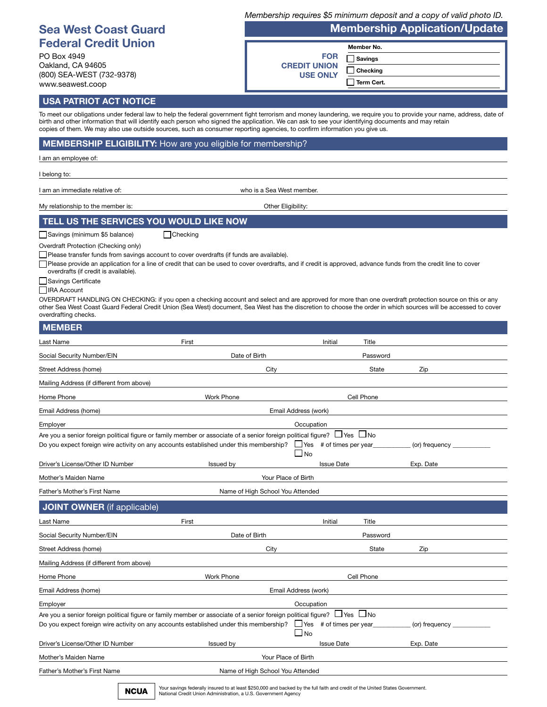|                                                                                                                                                                                                                                                                                                                                                                                                                                                         |                   |                                             |                   |                                | Membership requires \$5 minimum deposit and a copy of valid photo ID. |  |
|---------------------------------------------------------------------------------------------------------------------------------------------------------------------------------------------------------------------------------------------------------------------------------------------------------------------------------------------------------------------------------------------------------------------------------------------------------|-------------------|---------------------------------------------|-------------------|--------------------------------|-----------------------------------------------------------------------|--|
| <b>Sea West Coast Guard</b>                                                                                                                                                                                                                                                                                                                                                                                                                             |                   | <b>Membership Application/Update</b>        |                   |                                |                                                                       |  |
| <b>Federal Credit Union</b>                                                                                                                                                                                                                                                                                                                                                                                                                             |                   |                                             |                   | Member No.                     |                                                                       |  |
| PO Box 4949                                                                                                                                                                                                                                                                                                                                                                                                                                             |                   |                                             | <b>FOR</b>        | <b>Savings</b>                 |                                                                       |  |
| Oakland. CA 94605<br>(800) SEA-WEST (732-9378)                                                                                                                                                                                                                                                                                                                                                                                                          |                   | <b>CREDIT UNION</b><br><b>USE ONLY</b>      |                   | Checking                       |                                                                       |  |
| www.seawest.coop                                                                                                                                                                                                                                                                                                                                                                                                                                        |                   |                                             |                   | Term Cert.                     |                                                                       |  |
| <b>USA PATRIOT ACT NOTICE</b>                                                                                                                                                                                                                                                                                                                                                                                                                           |                   |                                             |                   |                                |                                                                       |  |
| To meet our obligations under federal law to help the federal government fight terrorism and money laundering, we require you to provide your name, address, date of<br>birth and other information that will identify each person who signed the application. We can ask to see your identifying documents and may retain<br>copies of them. We may also use outside sources, such as consumer reporting agencies, to confirm information you give us. |                   |                                             |                   |                                |                                                                       |  |
| <b>MEMBERSHIP ELIGIBILITY:</b> How are you eligible for membership?                                                                                                                                                                                                                                                                                                                                                                                     |                   |                                             |                   |                                |                                                                       |  |
| l am an employee of:                                                                                                                                                                                                                                                                                                                                                                                                                                    |                   |                                             |                   |                                |                                                                       |  |
| belong to:                                                                                                                                                                                                                                                                                                                                                                                                                                              |                   |                                             |                   |                                |                                                                       |  |
| am an immediate relative of:                                                                                                                                                                                                                                                                                                                                                                                                                            |                   | who is a Sea West member.                   |                   |                                |                                                                       |  |
| My relationship to the member is:                                                                                                                                                                                                                                                                                                                                                                                                                       |                   | Other Eligibility:                          |                   |                                |                                                                       |  |
| TELL US THE SERVICES YOU WOULD LIKE NOW                                                                                                                                                                                                                                                                                                                                                                                                                 |                   |                                             |                   |                                |                                                                       |  |
| Savings (minimum \$5 balance)                                                                                                                                                                                                                                                                                                                                                                                                                           | Checking          |                                             |                   |                                |                                                                       |  |
| Overdraft Protection (Checking only)<br>Please transfer funds from savings account to cover overdrafts (if funds are available).<br>Please provide an application for a line of credit that can be used to cover overdrafts, and if credit is approved, advance funds from the credit line to cover<br>overdrafts (if credit is available).<br>Savings Certificate                                                                                      |                   |                                             |                   |                                |                                                                       |  |
| <b>IRA</b> Account                                                                                                                                                                                                                                                                                                                                                                                                                                      |                   |                                             |                   |                                |                                                                       |  |
| OVERDRAFT HANDLING ON CHECKING: if you open a checking account and select and are approved for more than one overdraft protection source on this or any<br>other Sea West Coast Guard Federal Credit Union (Sea West) document, Sea West has the discretion to choose the order in which sources will be accessed to cover<br>overdrafting checks.                                                                                                      |                   |                                             |                   |                                |                                                                       |  |
| <b>MEMBER</b>                                                                                                                                                                                                                                                                                                                                                                                                                                           |                   |                                             |                   |                                |                                                                       |  |
| Last Name                                                                                                                                                                                                                                                                                                                                                                                                                                               | First             |                                             | Initial           | Title                          |                                                                       |  |
| Social Security Number/EIN                                                                                                                                                                                                                                                                                                                                                                                                                              |                   | Date of Birth                               |                   | Password                       |                                                                       |  |
| Street Address (home)                                                                                                                                                                                                                                                                                                                                                                                                                                   |                   | City                                        |                   | State                          | Zip                                                                   |  |
| Mailing Address (if different from above)                                                                                                                                                                                                                                                                                                                                                                                                               |                   |                                             |                   |                                |                                                                       |  |
| Home Phone                                                                                                                                                                                                                                                                                                                                                                                                                                              | <b>Work Phone</b> |                                             |                   | Cell Phone                     |                                                                       |  |
| Email Address (home)                                                                                                                                                                                                                                                                                                                                                                                                                                    |                   | Email Address (work)                        |                   |                                |                                                                       |  |
| Employer                                                                                                                                                                                                                                                                                                                                                                                                                                                |                   | Occupation                                  |                   |                                |                                                                       |  |
| Are you a senior foreign political figure or family member or associate of a senior foreign political figure? $\Box$ Yes $\,\Box$ No<br>Do you expect foreign wire activity on any accounts established under this membership?                                                                                                                                                                                                                          |                   | $\Box$ Yes # of times per year<br>$\Box$ No |                   |                                | (or) frequency                                                        |  |
| Driver's License/Other ID Number                                                                                                                                                                                                                                                                                                                                                                                                                        | Issued by         |                                             | <b>Issue Date</b> |                                | Exp. Date                                                             |  |
| Mother's Maiden Name                                                                                                                                                                                                                                                                                                                                                                                                                                    |                   | Your Place of Birth                         |                   |                                |                                                                       |  |
| Father's Mother's First Name                                                                                                                                                                                                                                                                                                                                                                                                                            |                   | Name of High School You Attended            |                   |                                |                                                                       |  |
| <b>JOINT OWNER</b> (if applicable)                                                                                                                                                                                                                                                                                                                                                                                                                      |                   |                                             |                   |                                |                                                                       |  |
| Last Name                                                                                                                                                                                                                                                                                                                                                                                                                                               | First             |                                             | Initial           | Title                          |                                                                       |  |
| Social Security Number/EIN                                                                                                                                                                                                                                                                                                                                                                                                                              |                   | Date of Birth                               |                   | Password                       |                                                                       |  |
| Street Address (home)                                                                                                                                                                                                                                                                                                                                                                                                                                   |                   | City                                        |                   | State                          | Zip                                                                   |  |
| Mailing Address (if different from above)                                                                                                                                                                                                                                                                                                                                                                                                               |                   |                                             |                   |                                |                                                                       |  |
| Home Phone                                                                                                                                                                                                                                                                                                                                                                                                                                              | <b>Work Phone</b> |                                             |                   | Cell Phone                     |                                                                       |  |
| Email Address (home)                                                                                                                                                                                                                                                                                                                                                                                                                                    |                   | Email Address (work)                        |                   |                                |                                                                       |  |
| Employer                                                                                                                                                                                                                                                                                                                                                                                                                                                |                   | Occupation                                  |                   |                                |                                                                       |  |
| Are you a senior foreign political figure or family member or associate of a senior foreign political figure? $\Box$ Yes $\Box$ No<br>Do you expect foreign wire activity on any accounts established under this membership?                                                                                                                                                                                                                            |                   | ∐ No                                        |                   | $\Box$ Yes # of times per year | (or) frequency                                                        |  |
| Driver's License/Other ID Number                                                                                                                                                                                                                                                                                                                                                                                                                        | Issued by         |                                             | <b>Issue Date</b> |                                | Exp. Date                                                             |  |
| Mother's Maiden Name                                                                                                                                                                                                                                                                                                                                                                                                                                    |                   | Your Place of Birth                         |                   |                                |                                                                       |  |
| Father's Mother's First Name                                                                                                                                                                                                                                                                                                                                                                                                                            |                   | Name of High School You Attended            |                   |                                |                                                                       |  |
|                                                                                                                                                                                                                                                                                                                                                                                                                                                         |                   |                                             |                   |                                |                                                                       |  |

Your savings federally insured to at least \$250,000 and backed by the full faith and credit of the United States Government.<br>National Credit Union Administration, a U.S. Government Agency